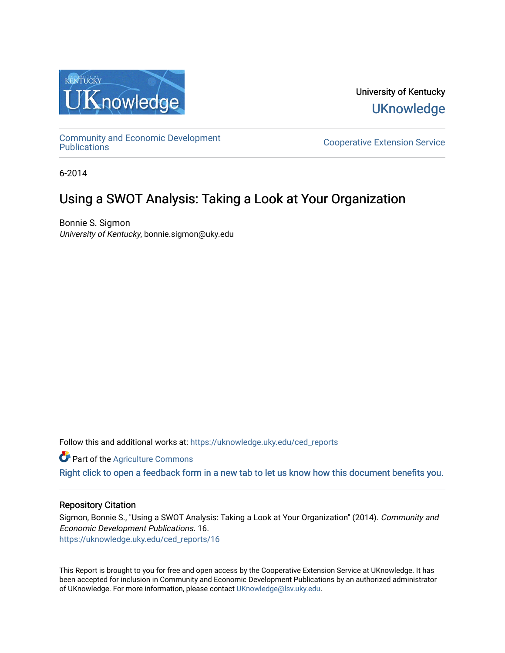

University of Kentucky **UKnowledge** 

[Community and Economic Development](https://uknowledge.uky.edu/ced_reports) 

**Cooperative Extension Service** 

6-2014

## Using a SWOT Analysis: Taking a Look at Your Organization

Bonnie S. Sigmon University of Kentucky, bonnie.sigmon@uky.edu

Follow this and additional works at: [https://uknowledge.uky.edu/ced\\_reports](https://uknowledge.uky.edu/ced_reports?utm_source=uknowledge.uky.edu%2Fced_reports%2F16&utm_medium=PDF&utm_campaign=PDFCoverPages)

**C** Part of the [Agriculture Commons](http://network.bepress.com/hgg/discipline/1076?utm_source=uknowledge.uky.edu%2Fced_reports%2F16&utm_medium=PDF&utm_campaign=PDFCoverPages)

[Right click to open a feedback form in a new tab to let us know how this document benefits you.](https://uky.az1.qualtrics.com/jfe/form/SV_9mq8fx2GnONRfz7)

#### Repository Citation

Sigmon, Bonnie S., "Using a SWOT Analysis: Taking a Look at Your Organization" (2014). Community and Economic Development Publications. 16. [https://uknowledge.uky.edu/ced\\_reports/16](https://uknowledge.uky.edu/ced_reports/16?utm_source=uknowledge.uky.edu%2Fced_reports%2F16&utm_medium=PDF&utm_campaign=PDFCoverPages) 

This Report is brought to you for free and open access by the Cooperative Extension Service at UKnowledge. It has been accepted for inclusion in Community and Economic Development Publications by an authorized administrator of UKnowledge. For more information, please contact [UKnowledge@lsv.uky.edu.](mailto:UKnowledge@lsv.uky.edu)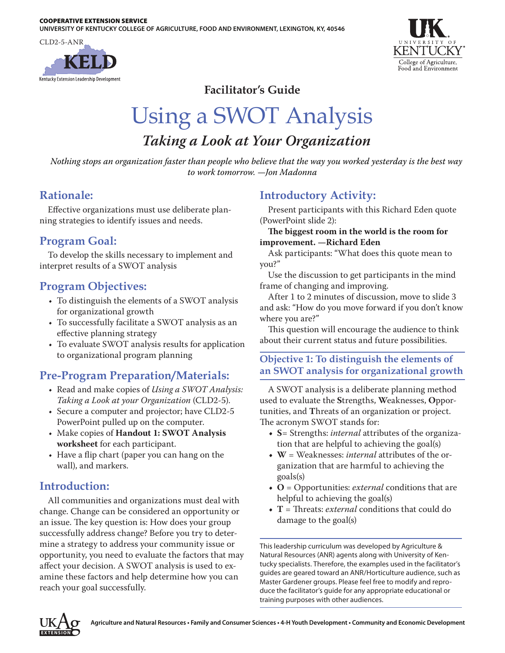CLD2-5-ANR





**Facilitator's Guide**

## Using a SWOT Analysis *Taking a Look at Your Organization*

*Nothing stops an organization faster than people who believe that the way you worked yesterday is the best way to work tomorrow. —Jon Madonna*

## **Rationale:**

Effective organizations must use deliberate planning strategies to identify issues and needs.

## **Program Goal:**

To develop the skills necessary to implement and interpret results of a SWOT analysis

## **Program Objectives:**

- To distinguish the elements of a SWOT analysis for organizational growth
- To successfully facilitate a SWOT analysis as an effective planning strategy
- To evaluate SWOT analysis results for application to organizational program planning

## **Pre-Program Preparation/Materials:**

- • Read and make copies of *Using a SWOT Analysis: Taking a Look at your Organization* (CLD2-5).
- Secure a computer and projector; have CLD2-5 PowerPoint pulled up on the computer.
- • Make copies of **Handout 1: SWOT Analysis worksheet** for each participant.
- Have a flip chart (paper you can hang on the wall), and markers.

## **Introduction:**

All communities and organizations must deal with change. Change can be considered an opportunity or an issue. The key question is: How does your group successfully address change? Before you try to determine a strategy to address your community issue or opportunity, you need to evaluate the factors that may affect your decision. A SWOT analysis is used to examine these factors and help determine how you can reach your goal successfully.

## **Introductory Activity:**

Present participants with this Richard Eden quote (PowerPoint slide 2):

#### **The biggest room in the world is the room for improvement. —Richard Eden**

Ask participants: "What does this quote mean to you?"

Use the discussion to get participants in the mind frame of changing and improving.

After 1 to 2 minutes of discussion, move to slide 3 and ask: "How do you move forward if you don't know where you are?"

This question will encourage the audience to think about their current status and future possibilities.

#### **Objective 1: To distinguish the elements of an SWOT analysis for organizational growth**

A SWOT analysis is a deliberate planning method used to evaluate the **S**trengths, **W**eaknesses, **O**pportunities, and **T**hreats of an organization or project. The acronym SWOT stands for:

- **• S**= Strengths: *internal* attributes of the organization that are helpful to achieving the goal(s)
- **• W** = Weaknesses: *internal* attributes of the organization that are harmful to achieving the goals(s)
- **• O** = Opportunities: *external* conditions that are helpful to achieving the goal(s)
- **• T** = Threats: *external* conditions that could do damage to the goal(s)

This leadership curriculum was developed by Agriculture & Natural Resources (ANR) agents along with University of Kentucky specialists. Therefore, the examples used in the facilitator's guides are geared toward an ANR/Horticulture audience, such as Master Gardener groups. Please feel free to modify and reproduce the facilitator's guide for any appropriate educational or training purposes with other audiences.

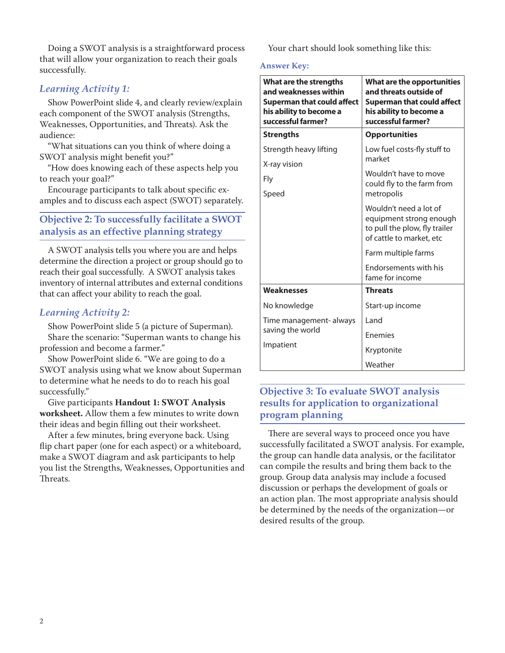Doing a SWOT analysis is a straightforward process that will allow your organization to reach their goals successfully.

#### *Learning Activity 1:*

Show PowerPoint slide 4, and clearly review/explain each component of the SWOT analysis (Strengths, Weaknesses, Opportunities, and Threats). Ask the audience:

"What situations can you think of where doing a SWOT analysis might benefit you?"

"How does knowing each of these aspects help you to reach your goal?"

Encourage participants to talk about specific examples and to discuss each aspect (SWOT) separately.

#### **Objective 2: To successfully facilitate a SWOT analysis as an effective planning strategy**

A SWOT analysis tells you where you are and helps determine the direction a project or group should go to reach their goal successfully. A SWOT analysis takes inventory of internal attributes and external conditions that can affect your ability to reach the goal.

#### *Learning Activity 2:*

Show PowerPoint slide 5 (a picture of Superman). Share the scenario: "Superman wants to change his profession and become a farmer."

Show PowerPoint slide 6. "We are going to do a SWOT analysis using what we know about Superman to determine what he needs to do to reach his goal successfully."

Give participants **Handout 1: SWOT Analysis worksheet.** Allow them a few minutes to write down their ideas and begin filling out their worksheet.

After a few minutes, bring everyone back. Using flip chart paper (one for each aspect) or a whiteboard, make a SWOT diagram and ask participants to help you list the Strengths, Weaknesses, Opportunities and Threats.

Your chart should look something like this:

#### **Answer Key:**

| What are the strengths<br>and weaknesses within<br>Superman that could affect<br>his ability to become a<br>successful farmer? | What are the opportunities<br>and threats outside of<br><b>Superman that could affect</b><br>his ability to become a<br>successful farmer? |  |
|--------------------------------------------------------------------------------------------------------------------------------|--------------------------------------------------------------------------------------------------------------------------------------------|--|
| <b>Strengths</b>                                                                                                               | <b>Opportunities</b>                                                                                                                       |  |
| Strength heavy lifting                                                                                                         | Low fuel costs-fly stuff to<br>market                                                                                                      |  |
| X-ray vision<br>Fly                                                                                                            | Wouldn't have to move<br>could fly to the farm from                                                                                        |  |
| Speed                                                                                                                          | metropolis                                                                                                                                 |  |
|                                                                                                                                | Wouldn't need a lot of<br>equipment strong enough<br>to pull the plow, fly trailer<br>of cattle to market, etc                             |  |
|                                                                                                                                | Farm multiple farms                                                                                                                        |  |
|                                                                                                                                | <b>Endorsements with his</b><br>fame for income                                                                                            |  |
| Weaknesses                                                                                                                     | <b>Threats</b>                                                                                                                             |  |
| No knowledge                                                                                                                   | Start-up income                                                                                                                            |  |
| Time management- always                                                                                                        | I and                                                                                                                                      |  |
| saving the world                                                                                                               | <b>Fnemies</b>                                                                                                                             |  |
| Impatient                                                                                                                      | Kryptonite                                                                                                                                 |  |
|                                                                                                                                | Weather                                                                                                                                    |  |

#### **Objective 3: To evaluate SWOT analysis results for application to organizational program planning**

There are several ways to proceed once you have successfully facilitated a SWOT analysis. For example, the group can handle data analysis, or the facilitator can compile the results and bring them back to the group. Group data analysis may include a focused discussion or perhaps the development of goals or an action plan. The most appropriate analysis should be determined by the needs of the organization—or desired results of the group.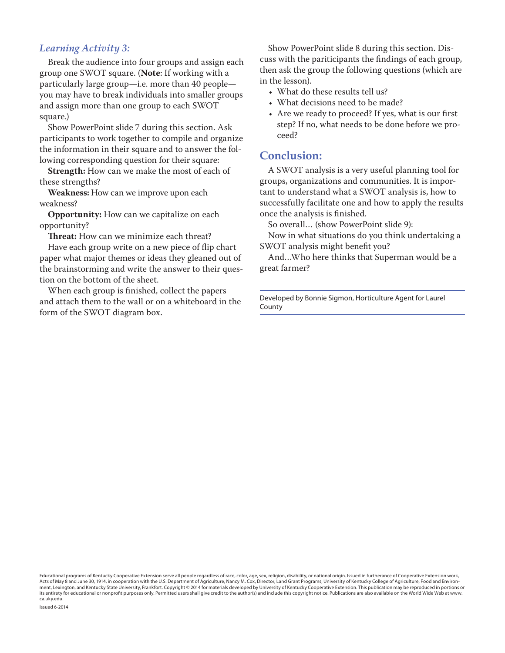#### *Learning Activity 3:*

Break the audience into four groups and assign each group one SWOT square. (**Note**: If working with a particularly large group—i.e. more than 40 people you may have to break individuals into smaller groups and assign more than one group to each SWOT square.)

Show PowerPoint slide 7 during this section. Ask participants to work together to compile and organize the information in their square and to answer the following corresponding question for their square:

**Strength:** How can we make the most of each of these strengths?

**Weakness:** How can we improve upon each weakness?

**Opportunity:** How can we capitalize on each opportunity?

**Threat:** How can we minimize each threat?

Have each group write on a new piece of flip chart paper what major themes or ideas they gleaned out of the brainstorming and write the answer to their question on the bottom of the sheet.

When each group is finished, collect the papers and attach them to the wall or on a whiteboard in the form of the SWOT diagram box.

Show PowerPoint slide 8 during this section. Discuss with the pariticipants the findings of each group, then ask the group the following questions (which are in the lesson).

- What do these results tell us?
- What decisions need to be made?
- Are we ready to proceed? If yes, what is our first step? If no, what needs to be done before we proceed?

#### **Conclusion:**

A SWOT analysis is a very useful planning tool for groups, organizations and communities. It is important to understand what a SWOT analysis is, how to successfully facilitate one and how to apply the results once the analysis is finished.

So overall… (show PowerPoint slide 9):

Now in what situations do you think undertaking a SWOT analysis might benefit you?

And…Who here thinks that Superman would be a great farmer?

Developed by Bonnie Sigmon, Horticulture Agent for Laurel County

Educational programs of Kentucky Cooperative Extension serve all people regardless of race, color, age, sex, religion, disability, or national origin. Issued in furtherance of Cooperative Extension work, Acts of May 8 and June 30, 1914, in cooperation with the U.S. Department of Agriculture, Nancy M. Cox, Director, Land Grant Programs, University of Kentucky College of Agriculture, Food and Environment, Lexington, and Kentucky State University, Frankfort. Copyright © 2014 for materials developed by University of Kentucky Cooperative Extension. This publication may be reproduced in portions or its entirety for educational or nonprofit purposes only. Permitted users shall give credit to the author(s) and include this copyright notice. Publications are also available on the World Wide Web at www. ca.uky.edu.